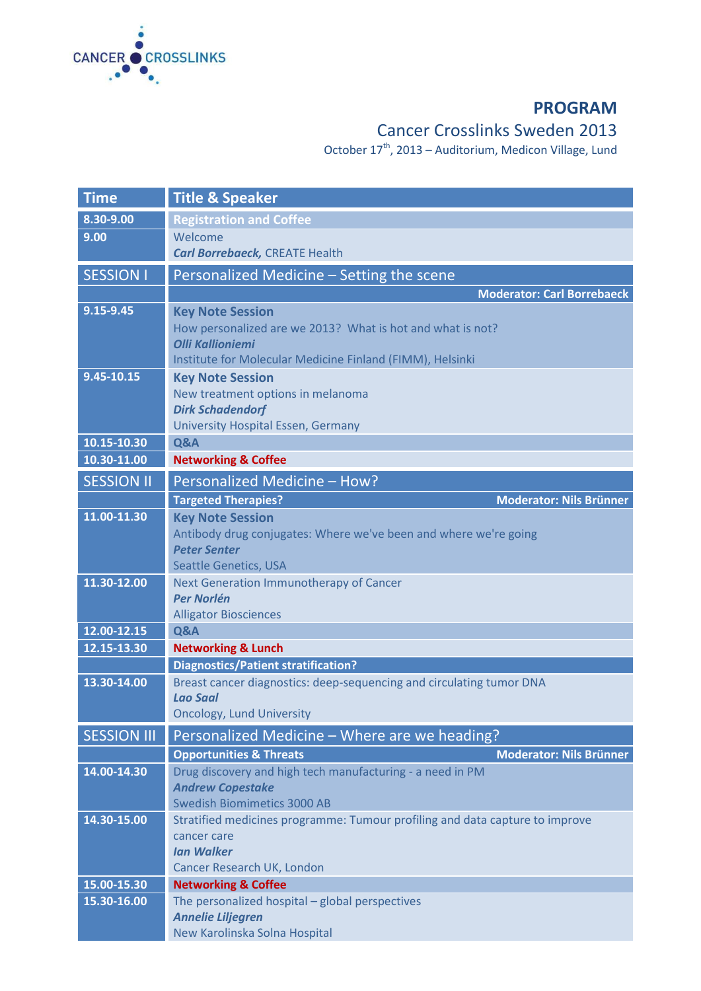

## **PROGRAM**

## Cancer Crosslinks Sweden 2013

October 17<sup>th</sup>, 2013 – Auditorium, Medicon Village, Lund

| <b>Time</b>                | <b>Title &amp; Speaker</b>                                                                  |
|----------------------------|---------------------------------------------------------------------------------------------|
| 8.30-9.00                  | <b>Registration and Coffee</b>                                                              |
| 9.00                       | Welcome<br><b>Carl Borrebaeck, CREATE Health</b>                                            |
| <b>SESSION I</b>           | Personalized Medicine - Setting the scene                                                   |
|                            | <b>Moderator: Carl Borrebaeck</b>                                                           |
| 9.15-9.45                  | <b>Key Note Session</b>                                                                     |
|                            | How personalized are we 2013? What is hot and what is not?                                  |
|                            | <b>Olli Kallioniemi</b><br>Institute for Molecular Medicine Finland (FIMM), Helsinki        |
| 9.45-10.15                 | <b>Key Note Session</b>                                                                     |
|                            | New treatment options in melanoma                                                           |
|                            | <b>Dirk Schadendorf</b>                                                                     |
|                            | <b>University Hospital Essen, Germany</b>                                                   |
| 10.15-10.30<br>10.30-11.00 | Q&A<br><b>Networking &amp; Coffee</b>                                                       |
|                            |                                                                                             |
| <b>SESSION II</b>          | Personalized Medicine - How?<br><b>Moderator: Nils Brünner</b>                              |
| 11.00-11.30                | <b>Targeted Therapies?</b><br><b>Key Note Session</b>                                       |
|                            | Antibody drug conjugates: Where we've been and where we're going                            |
|                            | <b>Peter Senter</b>                                                                         |
|                            | <b>Seattle Genetics, USA</b>                                                                |
| 11.30-12.00                | <b>Next Generation Immunotherapy of Cancer</b><br><b>Per Norlén</b>                         |
|                            | <b>Alligator Biosciences</b>                                                                |
| 12.00-12.15                | Q&A                                                                                         |
| 12.15-13.30                | <b>Networking &amp; Lunch</b>                                                               |
|                            | <b>Diagnostics/Patient stratification?</b>                                                  |
| 13.30-14.00                | Breast cancer diagnostics: deep-sequencing and circulating tumor DNA                        |
|                            | <b>Lao Saal</b><br><b>Oncology, Lund University</b>                                         |
| <b>SESSION III</b>         | Personalized Medicine - Where are we heading?                                               |
|                            | <b>Moderator: Nils Brünner</b><br><b>Opportunities &amp; Threats</b>                        |
| 14.00-14.30                | Drug discovery and high tech manufacturing - a need in PM                                   |
|                            | <b>Andrew Copestake</b>                                                                     |
|                            | <b>Swedish Biomimetics 3000 AB</b>                                                          |
| 14.30-15.00                | Stratified medicines programme: Tumour profiling and data capture to improve<br>cancer care |
|                            | <b>Ian Walker</b>                                                                           |
|                            | Cancer Research UK, London                                                                  |
| 15.00-15.30                | <b>Networking &amp; Coffee</b>                                                              |
| 15.30-16.00                | The personalized hospital - global perspectives                                             |
|                            | <b>Annelie Liljegren</b><br>New Karolinska Solna Hospital                                   |